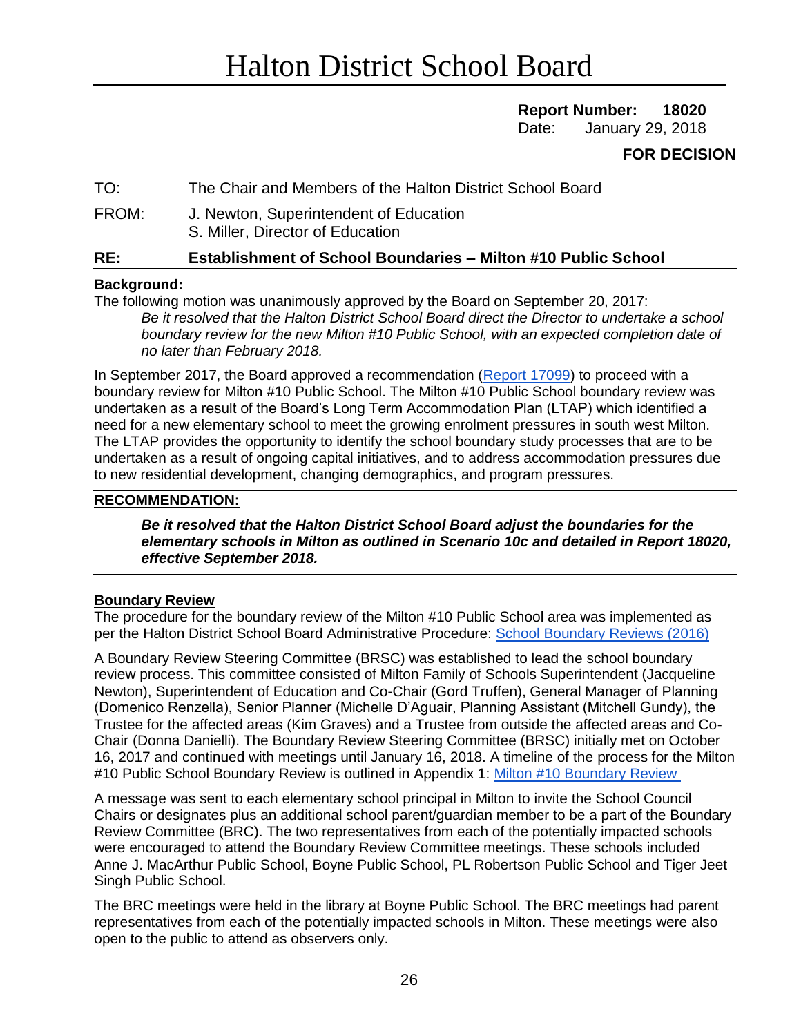# **Report Number: 18020**

Date: January 29, 2018

## **FOR DECISION**

## TO: The Chair and Members of the Halton District School Board

FROM: J. Newton, Superintendent of Education S. Miller, Director of Education

## **RE: Establishment of School Boundaries – Milton #10 Public School**

## **Background:**

The following motion was unanimously approved by the Board on September 20, 2017:

*Be it resolved that the Halton District School Board direct the Director to undertake a school boundary review for the new Milton #10 Public School, with an expected completion date of no later than February 2018.* 

In September 2017, the Board approved a recommendation [\(Report 17099\)](https://www.hdsb.ca/schools/School%20Boundary%20Reviews/2017%20Milton%20SW%2010%20PS/Boundary%20Review%20Initiation%20Report%2017099.pdf) to proceed with a boundary review for Milton #10 Public School. The Milton #10 Public School boundary review was undertaken as a result of the Board's Long Term Accommodation Plan (LTAP) which identified a need for a new elementary school to meet the growing enrolment pressures in south west Milton. The LTAP provides the opportunity to identify the school boundary study processes that are to be undertaken as a result of ongoing capital initiatives, and to address accommodation pressures due to new residential development, changing demographics, and program pressures.

## **RECOMMENDATION:**

*Be it resolved that the Halton District School Board adjust the boundaries for the elementary schools in Milton as outlined in Scenario 10c and detailed in Report 18020, effective September 2018.*

#### **Boundary Review**

The procedure for the boundary review of the Milton #10 Public School area was implemented as per the Halton District School Board Administrative Procedure: [School Boundary Reviews \(2016\)](https://www.hdsb.ca/schools/School%20Boundary%20Reviews/2016%20Milton%20MAR/AdministrativeProcedure.pdf)

A Boundary Review Steering Committee (BRSC) was established to lead the school boundary review process. This committee consisted of Milton Family of Schools Superintendent (Jacqueline Newton), Superintendent of Education and Co-Chair (Gord Truffen), General Manager of Planning (Domenico Renzella), Senior Planner (Michelle D'Aguair, Planning Assistant (Mitchell Gundy), the Trustee for the affected areas (Kim Graves) and a Trustee from outside the affected areas and Co-Chair (Donna Danielli). The Boundary Review Steering Committee (BRSC) initially met on October 16, 2017 and continued with meetings until January 16, 2018. A timeline of the process for the Milton #10 Public School Boundary Review is outlined in Appendix 1: [Milton #10 Boundary Review](https://www.hdsb.ca/schools/Pages/School%20Boundary%20Reviews/2017-Milton-MiltonSW10ps.aspx) 

A message was sent to each elementary school principal in Milton to invite the School Council Chairs or designates plus an additional school parent/guardian member to be a part of the Boundary Review Committee (BRC). The two representatives from each of the potentially impacted schools were encouraged to attend the Boundary Review Committee meetings. These schools included Anne J. MacArthur Public School, Boyne Public School, PL Robertson Public School and Tiger Jeet Singh Public School.

The BRC meetings were held in the library at Boyne Public School. The BRC meetings had parent representatives from each of the potentially impacted schools in Milton. These meetings were also open to the public to attend as observers only.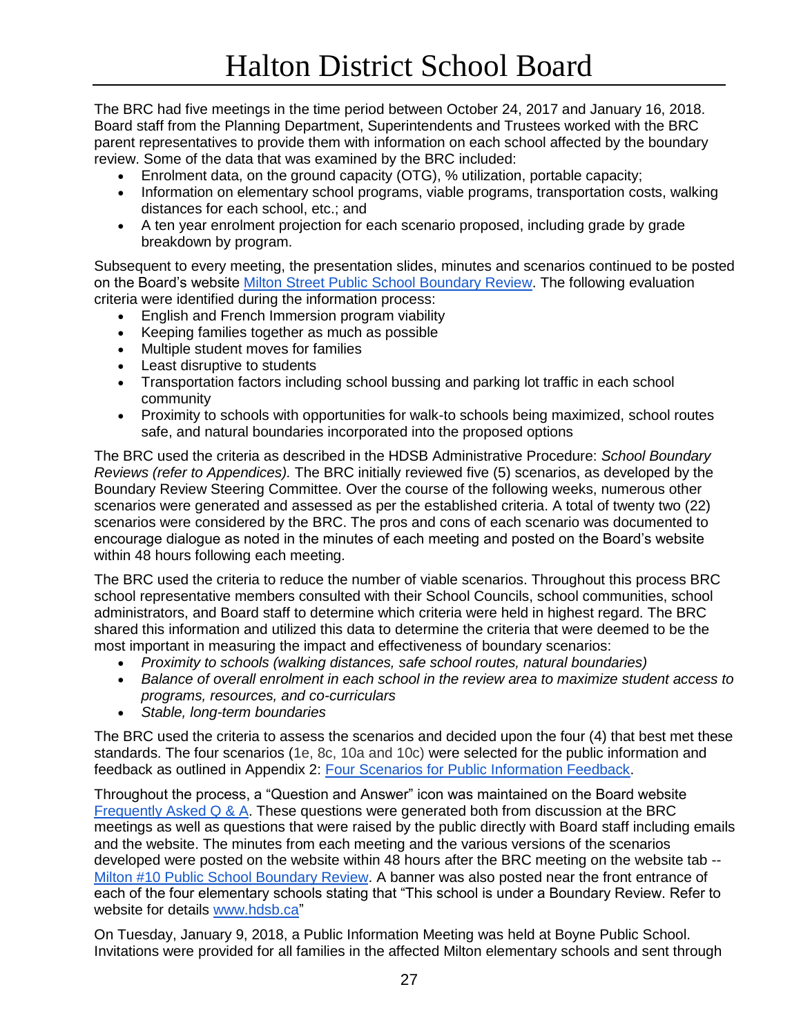The BRC had five meetings in the time period between October 24, 2017 and January 16, 2018. Board staff from the Planning Department, Superintendents and Trustees worked with the BRC parent representatives to provide them with information on each school affected by the boundary review. Some of the data that was examined by the BRC included:

- Enrolment data, on the ground capacity (OTG), % utilization, portable capacity;
- Information on elementary school programs, viable programs, transportation costs, walking distances for each school, etc.; and
- A ten year enrolment projection for each scenario proposed, including grade by grade breakdown by program.

Subsequent to every meeting, the presentation slides, minutes and scenarios continued to be posted on the Board's website [Milton Street Public School Boundary Review.](https://www.hdsb.ca/schools/Pages/School%20Boundary%20Reviews/2017-Milton-MiltonSW10ps.aspx) The following evaluation criteria were identified during the information process:

- English and French Immersion program viability
- Keeping families together as much as possible
- Multiple student moves for families
- Least disruptive to students
- Transportation factors including school bussing and parking lot traffic in each school community
- Proximity to schools with opportunities for walk-to schools being maximized, school routes safe, and natural boundaries incorporated into the proposed options

The BRC used the criteria as described in the HDSB Administrative Procedure: *School Boundary Reviews (refer to Appendices).* The BRC initially reviewed five (5) scenarios, as developed by the Boundary Review Steering Committee. Over the course of the following weeks, numerous other scenarios were generated and assessed as per the established criteria. A total of twenty two (22) scenarios were considered by the BRC. The pros and cons of each scenario was documented to encourage dialogue as noted in the minutes of each meeting and posted on the Board's website within 48 hours following each meeting.

The BRC used the criteria to reduce the number of viable scenarios. Throughout this process BRC school representative members consulted with their School Councils, school communities, school administrators, and Board staff to determine which criteria were held in highest regard. The BRC shared this information and utilized this data to determine the criteria that were deemed to be the most important in measuring the impact and effectiveness of boundary scenarios:

- *Proximity to schools (walking distances, safe school routes, natural boundaries)*
- *Balance of overall enrolment in each school in the review area to maximize student access to programs, resources, and co-curriculars*
- *Stable, long-term boundaries*

The BRC used the criteria to assess the scenarios and decided upon the four (4) that best met these standards. The four scenarios (1e, 8c, 10a and 10c) were selected for the public information and feedback as outlined in Appendix 2: [Four Scenarios for Public Information Feedback.](https://www.hdsb.ca/schools/Pages/School%20Boundary%20Reviews/2017-Milton-MiltonSW10ps.aspx)

Throughout the process, a "Question and Answer" icon was maintained on the Board website [Frequently Asked Q & A.](https://www.hdsb.ca/schools/Pages/School%20Boundary%20Reviews/2017%20Milton%20SW%2010%20PS/Frequently-Asked-Questions.aspx) These questions were generated both from discussion at the BRC meetings as well as questions that were raised by the public directly with Board staff including emails and the website. The minutes from each meeting and the various versions of the scenarios developed were posted on the website within 48 hours after the BRC meeting on the website tab -[-](https://www.hdsb.ca/our-board/Pages/Search.aspx?k=Milton#10%20boundary%20review) [Milton #10 Public School Boundary Review.](https://www.hdsb.ca/our-board/Pages/Search.aspx?k=Milton#10%20boundary%20review) A banner was also posted near the front entrance of each of the four elementary schools stating that "This school is under a Boundary Review. Refer to website for details [www.hdsb.ca"](http://www.hdsb.ca/)

On Tuesday, January 9, 2018, a Public Information Meeting was held at Boyne Public School. Invitations were provided for all families in the affected Milton elementary schools and sent through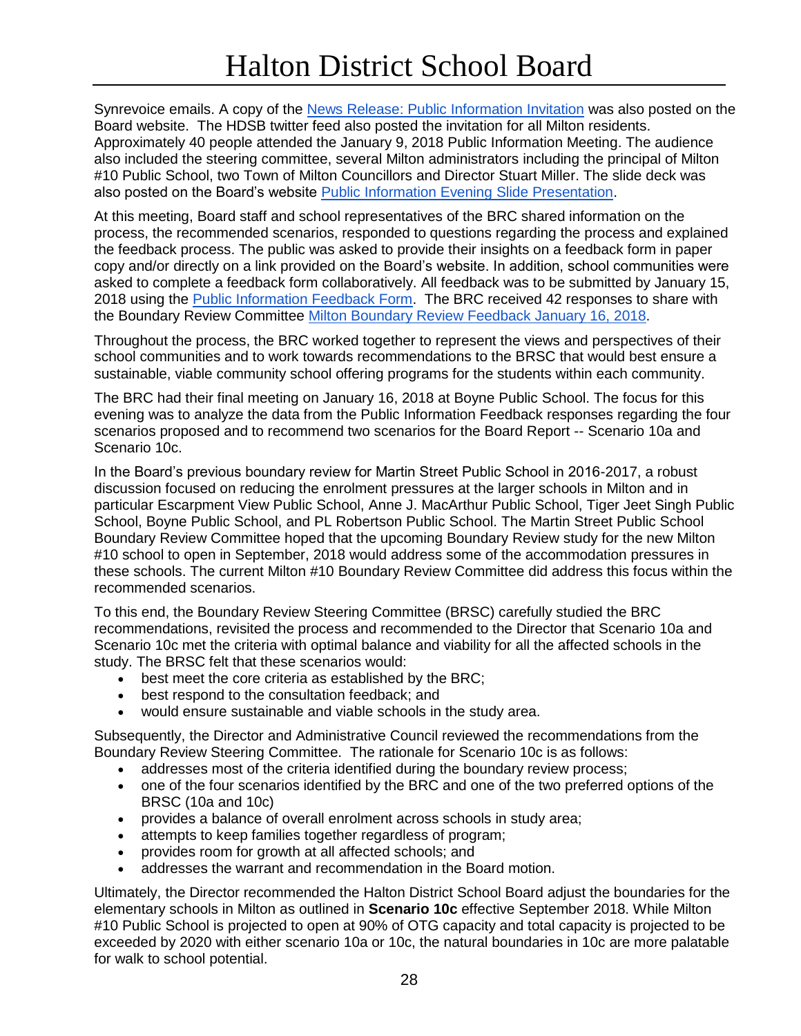Synrevoice emails. A copy of the [News Release: Public Information Invitation](https://docs.google.com/document/d/1cxHOdDnnFMWauFUiKYLBw61MKhnMSmyZB40SVol_6Zs/edit) was also posted on the Board website. The HDSB twitter feed also posted the invitation for all Milton residents. Approximately 40 people attended the January 9, 2018 Public Information Meeting. The audience also included the steering committee, several Milton administrators including the principal of Milton #10 Public School, two Town of Milton Councillors and Director Stuart Miller. The slide deck was also posted on the Board's website [Public Information Evening Slide Presentation.](https://www.hdsb.ca/schools/School%20Boundary%20Reviews/2017%20Milton%20SW%2010%20PS/meeting%205%20-%20January%209%202018.pptx)

At this meeting, Board staff and school representatives of the BRC shared information on the process, the recommended scenarios, responded to questions regarding the process and explained the feedback process. The public was asked to provide their insights on a feedback form in paper copy and/or directly on a link provided on the Board's website. In addition, school communities were asked to complete a feedback form collaboratively. All feedback was to be submitted by January 15, 2018 using the [Public Information Feedback Form.](https://www.hdsb.ca/schools/School%20Boundary%20Reviews/2016%20Milton%20MAR/HardCopyPublicConsultationFeedbackFormWEB.docx) The BRC received 42 responses to share with the Boundary Review Committee [Milton Boundary Review Feedback January 16, 2018.](https://docs.google.com/presentation/d/1JelECAgLOvPoCsLnsOn4KX04tlgmLyaklB0ZKyQMtsQ/edit?ts=5a5e95a9#slide=id.g2ee1c223c6_0_0)

Throughout the process, the BRC worked together to represent the views and perspectives of their school communities and to work towards recommendations to the BRSC that would best ensure a sustainable, viable community school offering programs for the students within each community.

The BRC had their final meeting on January 16, 2018 at Boyne Public School. The focus for this evening was to analyze the data from the Public Information Feedback responses regarding the four scenarios proposed and to recommend two scenarios for the Board Report -- Scenario 10a and Scenario 10c.

In the Board's previous boundary review for Martin Street Public School in 2016-2017, a robust discussion focused on reducing the enrolment pressures at the larger schools in Milton and in particular Escarpment View Public School, Anne J. MacArthur Public School, Tiger Jeet Singh Public School, Boyne Public School, and PL Robertson Public School. The Martin Street Public School Boundary Review Committee hoped that the upcoming Boundary Review study for the new Milton #10 school to open in September, 2018 would address some of the accommodation pressures in these schools. The current Milton #10 Boundary Review Committee did address this focus within the recommended scenarios.

To this end, the Boundary Review Steering Committee (BRSC) carefully studied the BRC recommendations, revisited the process and recommended to the Director that Scenario 10a and Scenario 10c met the criteria with optimal balance and viability for all the affected schools in the study. The BRSC felt that these scenarios would:

- **•** best meet the core criteria as established by the BRC;
- best respond to the consultation feedback; and
- would ensure sustainable and viable schools in the study area.

Subsequently, the Director and Administrative Council reviewed the recommendations from the Boundary Review Steering Committee. The rationale for Scenario 10c is as follows:

- addresses most of the criteria identified during the boundary review process;
- one of the four scenarios identified by the BRC and one of the two preferred options of the BRSC (10a and 10c)
- provides a balance of overall enrolment across schools in study area;
- attempts to keep families together regardless of program;
- provides room for growth at all affected schools; and
- addresses the warrant and recommendation in the Board motion.

Ultimately, the Director recommended the Halton District School Board adjust the boundaries for the elementary schools in Milton as outlined in **Scenario 10c** effective September 2018. While Milton #10 Public School is projected to open at 90% of OTG capacity and total capacity is projected to be exceeded by 2020 with either scenario 10a or 10c, the natural boundaries in 10c are more palatable for walk to school potential.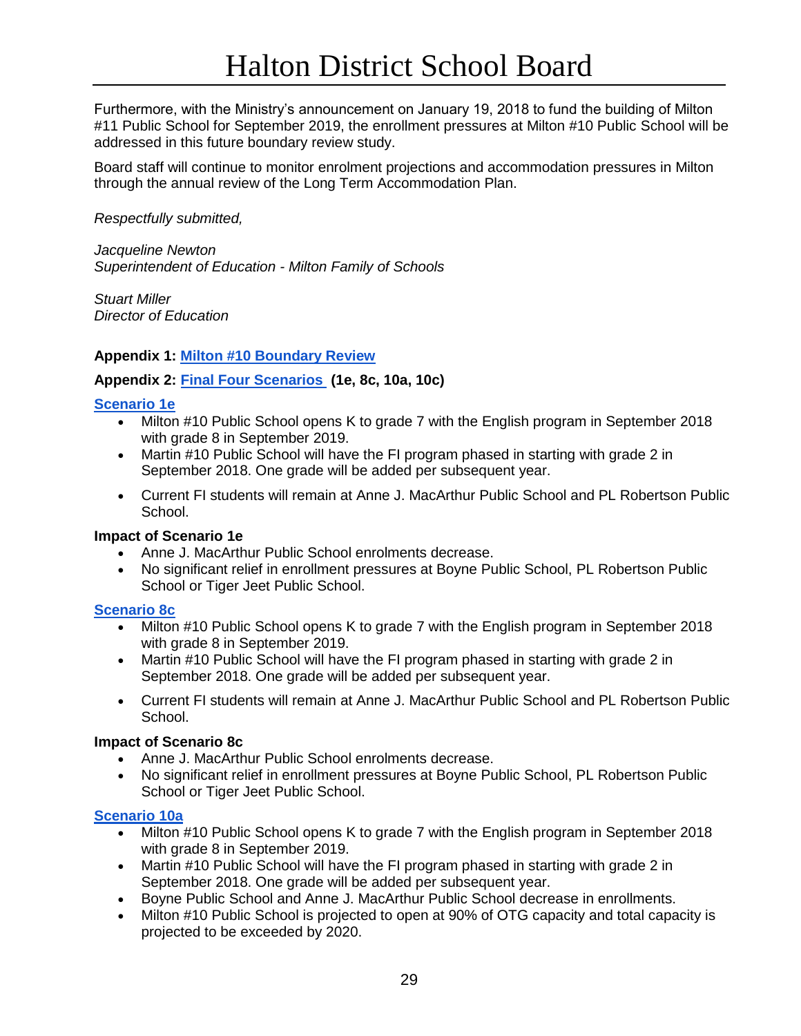Furthermore, with the Ministry's announcement on January 19, 2018 to fund the building of Milton #11 Public School for September 2019, the enrollment pressures at Milton #10 Public School will be addressed in this future boundary review study.

Board staff will continue to monitor enrolment projections and accommodation pressures in Milton through the annual review of the Long Term Accommodation Plan.

*Respectfully submitted,*

*Jacqueline Newton Superintendent of Education - Milton Family of Schools*

*Stuart Miller Director of Education* 

#### **Appendix 1: [Milton #10 Boundary Review](https://www.hdsb.ca/schools/Pages/School%20Boundary%20Reviews/2017-Milton-MiltonSW10ps.aspx)**

## **Appendix 2: [Final Four Scenarios](https://www.hdsb.ca/schools/Pages/School%20Boundary%20Reviews/2017-Milton-MiltonSW10ps.aspx) (1e, 8c, 10a, 10c)**

#### **[Scenario 1e](https://www.hdsb.ca/schools/School%20Boundary%20Reviews/2017%20Milton%20SW%2010%20PS/Scenario%201e.pdf)**

- Milton #10 Public School opens K to grade 7 with the English program in September 2018 with grade 8 in September 2019.
- Martin #10 Public School will have the FI program phased in starting with grade 2 in September 2018. One grade will be added per subsequent year.
- Current FI students will remain at Anne J. MacArthur Public School and PL Robertson Public School.

#### **Impact of Scenario 1e**

- Anne J. MacArthur Public School enrolments decrease.
- No significant relief in enrollment pressures at Boyne Public School, PL Robertson Public School or Tiger Jeet Public School.

#### **[Scenario 8c](https://www.hdsb.ca/schools/School%20Boundary%20Reviews/2017%20Milton%20SW%2010%20PS/Scenario%208c.pdf)**

- Milton #10 Public School opens K to grade 7 with the English program in September 2018 with grade 8 in September 2019.
- Martin #10 Public School will have the FI program phased in starting with grade 2 in September 2018. One grade will be added per subsequent year.
- Current FI students will remain at Anne J. MacArthur Public School and PL Robertson Public School.

#### **Impact of Scenario 8c**

- Anne J. MacArthur Public School enrolments decrease.
- No significant relief in enrollment pressures at Boyne Public School, PL Robertson Public School or Tiger Jeet Public School.

#### **[Scenario 10a](https://www.hdsb.ca/schools/School%20Boundary%20Reviews/2017%20Milton%20SW%2010%20PS/Scenario%2010a.pdf)**

- Milton #10 Public School opens K to grade 7 with the English program in September 2018 with grade 8 in September 2019.
- Martin #10 Public School will have the FI program phased in starting with grade 2 in September 2018. One grade will be added per subsequent year.
- Boyne Public School and Anne J. MacArthur Public School decrease in enrollments.
- Milton #10 Public School is projected to open at 90% of OTG capacity and total capacity is projected to be exceeded by 2020.